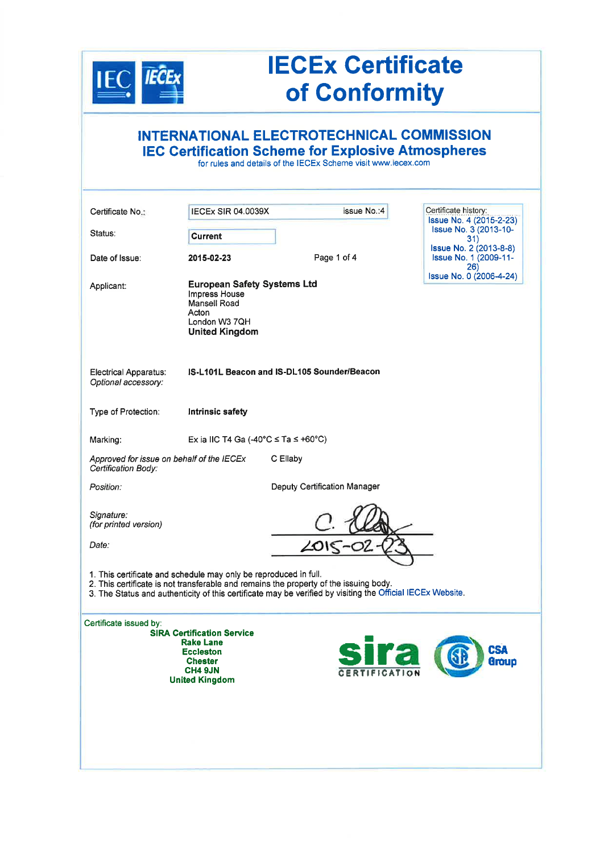

## **IECEx Certificate** of Conformity

|                                                                                                                                                                                                                                                                         |                                                                                                                          | INTERNATIONAL ELECTROTECHNICAL COMMISSION<br><b>IEC Certification Scheme for Explosive Atmospheres</b><br>for rules and details of the IECEx Scheme visit www.iecex.com |                                                                      |
|-------------------------------------------------------------------------------------------------------------------------------------------------------------------------------------------------------------------------------------------------------------------------|--------------------------------------------------------------------------------------------------------------------------|-------------------------------------------------------------------------------------------------------------------------------------------------------------------------|----------------------------------------------------------------------|
| Certificate No.:                                                                                                                                                                                                                                                        | <b>IECEX SIR 04.0039X</b>                                                                                                | issue No.:4                                                                                                                                                             | Certificate history:<br>Issue No. 4 (2015-2-23)                      |
| Status:                                                                                                                                                                                                                                                                 | <b>Current</b>                                                                                                           |                                                                                                                                                                         | <b>Issue No. 3 (2013-10-</b><br>31)                                  |
| Date of Issue:                                                                                                                                                                                                                                                          | 2015-02-23                                                                                                               | Page 1 of 4                                                                                                                                                             | <b>Issue No. 2 (2013-8-8)</b><br><b>Issue No. 1 (2009-11-</b><br>26) |
| Applicant:                                                                                                                                                                                                                                                              | <b>European Safety Systems Ltd</b><br>Impress House<br>Mansell Road<br>Acton<br>London W3 7QH<br><b>United Kingdom</b>   |                                                                                                                                                                         | Issue No. 0 (2006-4-24)                                              |
| <b>Electrical Apparatus:</b><br>Optional accessory:                                                                                                                                                                                                                     |                                                                                                                          | IS-L101L Beacon and IS-DL105 Sounder/Beacon                                                                                                                             |                                                                      |
| Type of Protection:                                                                                                                                                                                                                                                     | <b>Intrinsic safety</b>                                                                                                  |                                                                                                                                                                         |                                                                      |
| Marking:                                                                                                                                                                                                                                                                | Ex ia IIC T4 Ga (-40°C $\le$ Ta $\le$ +60°C)                                                                             |                                                                                                                                                                         |                                                                      |
| Approved for issue on behalf of the IECEx<br>Certification Body:                                                                                                                                                                                                        |                                                                                                                          | C Ellaby                                                                                                                                                                |                                                                      |
| Position:                                                                                                                                                                                                                                                               |                                                                                                                          | Deputy Certification Manager                                                                                                                                            |                                                                      |
| Signature:<br>(for printed version)                                                                                                                                                                                                                                     |                                                                                                                          |                                                                                                                                                                         |                                                                      |
| Date:                                                                                                                                                                                                                                                                   |                                                                                                                          |                                                                                                                                                                         |                                                                      |
| 1. This certificate and schedule may only be reproduced in full.<br>2. This certificate is not transferable and remains the property of the issuing body.<br>3. The Status and authenticity of this certificate may be verified by visiting the Official IECEx Website. |                                                                                                                          |                                                                                                                                                                         |                                                                      |
| Certificate issued by:                                                                                                                                                                                                                                                  | <b>SIRA Certification Service</b><br><b>Rake Lane</b><br><b>Eccleston</b><br>Chester<br>CH4 9JN<br><b>United Kingdom</b> | <b>Sira</b>                                                                                                                                                             | <b>CSA</b><br>Group                                                  |
|                                                                                                                                                                                                                                                                         |                                                                                                                          |                                                                                                                                                                         |                                                                      |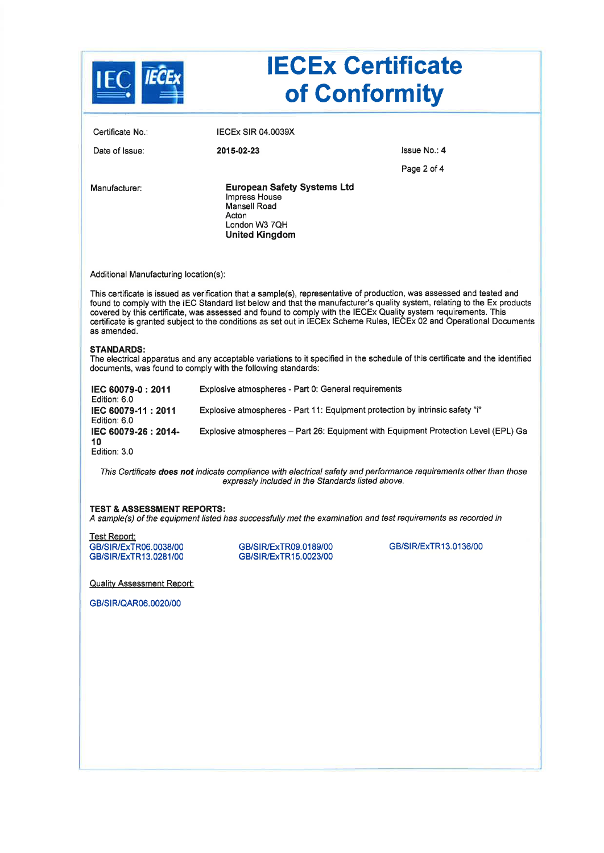|                                                                |                                                                                                                                                                                                                                                                                                                                                                                                                                                                                               | <b>IECEx Certificate</b><br>of Conformity                                           |
|----------------------------------------------------------------|-----------------------------------------------------------------------------------------------------------------------------------------------------------------------------------------------------------------------------------------------------------------------------------------------------------------------------------------------------------------------------------------------------------------------------------------------------------------------------------------------|-------------------------------------------------------------------------------------|
| Certificate No.:                                               | <b>IECEX SIR 04.0039X</b>                                                                                                                                                                                                                                                                                                                                                                                                                                                                     |                                                                                     |
| Date of Issue:                                                 | 2015-02-23                                                                                                                                                                                                                                                                                                                                                                                                                                                                                    | Issue No.: 4                                                                        |
|                                                                |                                                                                                                                                                                                                                                                                                                                                                                                                                                                                               | Page 2 of 4                                                                         |
| Manufacturer:                                                  | <b>European Safety Systems Ltd</b><br>Impress House<br>Mansell Road<br>Acton<br>London W3 7QH<br><b>United Kingdom</b>                                                                                                                                                                                                                                                                                                                                                                        |                                                                                     |
| Additional Manufacturing location(s):                          |                                                                                                                                                                                                                                                                                                                                                                                                                                                                                               |                                                                                     |
| as amended.                                                    | This certificate is issued as verification that a sample(s), representative of production, was assessed and tested and<br>found to comply with the IEC Standard list below and that the manufacturer's quality system, relating to the Ex products<br>covered by this certificate, was assessed and found to comply with the IECEx Quality system requirements. This<br>certificate is granted subject to the conditions as set out in IECEx Scheme Rules, IECEx 02 and Operational Documents |                                                                                     |
| <b>STANDARDS:</b>                                              | The electrical apparatus and any acceptable variations to it specified in the schedule of this certificate and the identified<br>documents, was found to comply with the following standards:                                                                                                                                                                                                                                                                                                 |                                                                                     |
| IEC 60079-0: 2011<br>Edition: 6.0                              | Explosive atmospheres - Part 0: General requirements                                                                                                                                                                                                                                                                                                                                                                                                                                          |                                                                                     |
| IEC 60079-11: 2011<br>Edition: 6.0                             | Explosive atmospheres - Part 11: Equipment protection by intrinsic safety "i"                                                                                                                                                                                                                                                                                                                                                                                                                 |                                                                                     |
| IEC 60079-26 : 2014-<br>10                                     |                                                                                                                                                                                                                                                                                                                                                                                                                                                                                               | Explosive atmospheres - Part 26: Equipment with Equipment Protection Level (EPL) Ga |
| Edition: 3.0                                                   |                                                                                                                                                                                                                                                                                                                                                                                                                                                                                               |                                                                                     |
|                                                                | This Certificate does not indicate compliance with electrical safety and performance requirements other than those<br>expressly included in the Standards listed above.                                                                                                                                                                                                                                                                                                                       |                                                                                     |
| <b>TEST &amp; ASSESSMENT REPORTS:</b>                          | A sample(s) of the equipment listed has successfully met the examination and test requirements as recorded in                                                                                                                                                                                                                                                                                                                                                                                 |                                                                                     |
| Test Report:<br>GB/SIR/ExTR06.0038/00<br>GB/SIR/ExTR13.0281/00 | GB/SIR/ExTR09.0189/00<br>GB/SIR/ExTR15.0023/00                                                                                                                                                                                                                                                                                                                                                                                                                                                | GB/SIR/ExTR13.0136/00                                                               |
| <b>Quality Assessment Report:</b>                              |                                                                                                                                                                                                                                                                                                                                                                                                                                                                                               |                                                                                     |
| GB/SIR/QAR06.0020/00                                           |                                                                                                                                                                                                                                                                                                                                                                                                                                                                                               |                                                                                     |
|                                                                |                                                                                                                                                                                                                                                                                                                                                                                                                                                                                               |                                                                                     |
|                                                                |                                                                                                                                                                                                                                                                                                                                                                                                                                                                                               |                                                                                     |
|                                                                |                                                                                                                                                                                                                                                                                                                                                                                                                                                                                               |                                                                                     |
|                                                                |                                                                                                                                                                                                                                                                                                                                                                                                                                                                                               |                                                                                     |
|                                                                |                                                                                                                                                                                                                                                                                                                                                                                                                                                                                               |                                                                                     |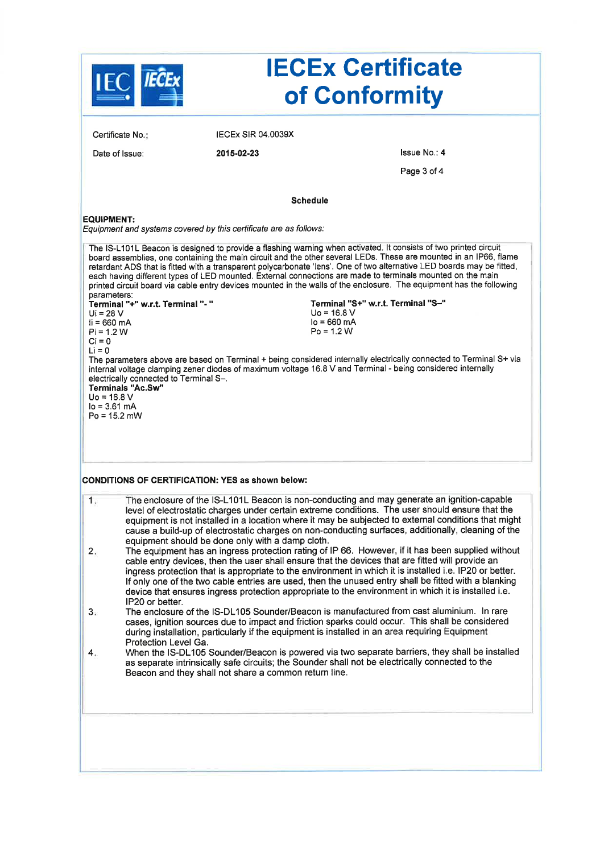|                                                                                                                               |                                                                                                                    |                                                                                                             | <b>IECEx Certificate</b><br>of Conformity                                                                                                                                                                                                                                                                                                                                                                                                                                                                                                                                                                                                                                                                                                                                                                        |
|-------------------------------------------------------------------------------------------------------------------------------|--------------------------------------------------------------------------------------------------------------------|-------------------------------------------------------------------------------------------------------------|------------------------------------------------------------------------------------------------------------------------------------------------------------------------------------------------------------------------------------------------------------------------------------------------------------------------------------------------------------------------------------------------------------------------------------------------------------------------------------------------------------------------------------------------------------------------------------------------------------------------------------------------------------------------------------------------------------------------------------------------------------------------------------------------------------------|
|                                                                                                                               | Certificate No.:                                                                                                   | <b>IECEX SIR 04.0039X</b>                                                                                   |                                                                                                                                                                                                                                                                                                                                                                                                                                                                                                                                                                                                                                                                                                                                                                                                                  |
|                                                                                                                               | Date of Issue:                                                                                                     | 2015-02-23                                                                                                  | Issue No.: 4                                                                                                                                                                                                                                                                                                                                                                                                                                                                                                                                                                                                                                                                                                                                                                                                     |
|                                                                                                                               |                                                                                                                    |                                                                                                             | Page 3 of 4                                                                                                                                                                                                                                                                                                                                                                                                                                                                                                                                                                                                                                                                                                                                                                                                      |
|                                                                                                                               |                                                                                                                    |                                                                                                             | <b>Schedule</b>                                                                                                                                                                                                                                                                                                                                                                                                                                                                                                                                                                                                                                                                                                                                                                                                  |
| <b>EQUIPMENT:</b>                                                                                                             |                                                                                                                    | Equipment and systems covered by this certificate are as follows:                                           |                                                                                                                                                                                                                                                                                                                                                                                                                                                                                                                                                                                                                                                                                                                                                                                                                  |
| parameters:<br>$Ui = 28 V$<br>$ii = 660 \, mA$<br>$Pi = 1.2 W$<br>$Ci = 0$<br>$Li = 0$<br>$Uo = 16.8 V$<br>$I_0 = 3.61 \, mA$ | Terminal "+" w.r.t. Terminal "- "<br>electrically connected to Terminal S-.<br>Terminals "Ac.Sw"<br>$Po = 15.2$ mW |                                                                                                             | board assemblies, one containing the main circuit and the other several LEDs. These are mounted in an IP66, flame<br>retardant ADS that is fitted with a transparent polycarbonate 'lens'. One of two alternative LED boards may be fitted,<br>each having different types of LED mounted. External connections are made to terminals mounted on the main<br>printed circuit board via cable entry devices mounted in the walls of the enclosure. The equipment has the following<br>Terminal "S+" w.r.t. Terminal "S-"<br>$U_0 = 16.8 V$<br>$I_0 = 660$ mA<br>$Po = 1.2 W$<br>The parameters above are based on Terminal + being considered internally electrically connected to Terminal S+ via<br>internal voltage clamping zener diodes of maximum voltage 16.8 V and Terminal - being considered internally |
| 1.<br>2.                                                                                                                      |                                                                                                                    | <b>CONDITIONS OF CERTIFICATION: YES as shown below:</b><br>equipment should be done only with a damp cloth. | The enclosure of the IS-L101L Beacon is non-conducting and may generate an ignition-capable<br>level of electrostatic charges under certain extreme conditions. The user should ensure that the<br>equipment is not installed in a location where it may be subjected to external conditions that might<br>cause a build-up of electrostatic charges on non-conducting surfaces, additionally, cleaning of the<br>The equipment has an ingress protection rating of IP 66. However, if it has been supplied without<br>cable entry devices, then the user shall ensure that the devices that are fitted will provide an                                                                                                                                                                                          |
|                                                                                                                               | IP20 or better.                                                                                                    |                                                                                                             | ingress protection that is appropriate to the environment in which it is installed i.e. IP20 or better.<br>If only one of the two cable entries are used, then the unused entry shall be fitted with a blanking<br>device that ensures ingress protection appropriate to the environment in which it is installed i.e.<br>The enclosure of the IS-DL105 Sounder/Beacon is manufactured from cast aluminium. In rare                                                                                                                                                                                                                                                                                                                                                                                              |
| 3.5                                                                                                                           | Protection Level Ga.                                                                                               |                                                                                                             | cases, ignition sources due to impact and friction sparks could occur. This shall be considered<br>during installation, particularly if the equipment is installed in an area requiring Equipment                                                                                                                                                                                                                                                                                                                                                                                                                                                                                                                                                                                                                |
| 4.                                                                                                                            |                                                                                                                    | Beacon and they shall not share a common return line.                                                       | When the IS-DL105 Sounder/Beacon is powered via two separate barriers, they shall be installed<br>as separate intrinsically safe circuits; the Sounder shall not be electrically connected to the                                                                                                                                                                                                                                                                                                                                                                                                                                                                                                                                                                                                                |
|                                                                                                                               |                                                                                                                    |                                                                                                             |                                                                                                                                                                                                                                                                                                                                                                                                                                                                                                                                                                                                                                                                                                                                                                                                                  |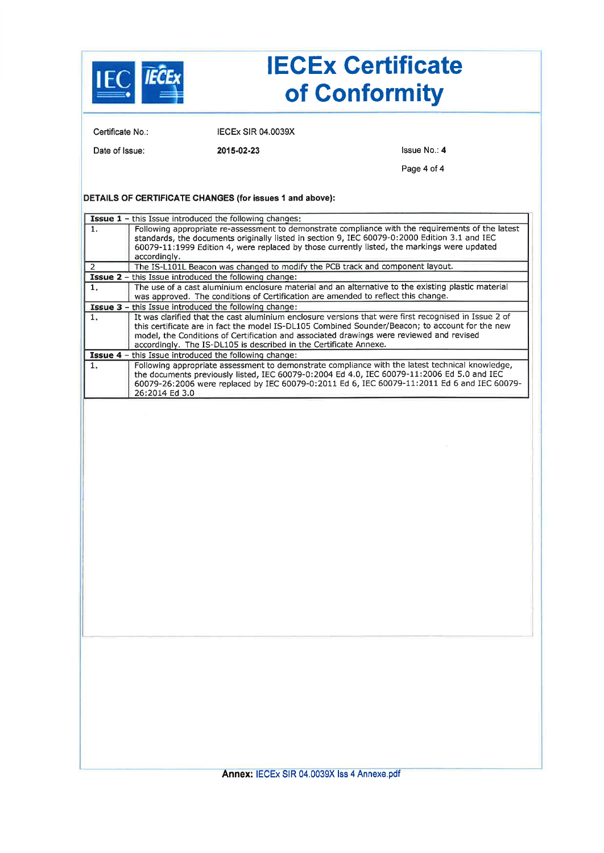|                                |                                                                                   | <b>IECEx Certificate</b><br>of Conformity                                                                                                                                                                                                                                                           |
|--------------------------------|-----------------------------------------------------------------------------------|-----------------------------------------------------------------------------------------------------------------------------------------------------------------------------------------------------------------------------------------------------------------------------------------------------|
| Certificate No.:               | <b>IECEX SIR 04.0039X</b>                                                         |                                                                                                                                                                                                                                                                                                     |
| Date of Issue:                 | 2015-02-23                                                                        | Issue No.: 4                                                                                                                                                                                                                                                                                        |
|                                |                                                                                   | Page 4 of 4                                                                                                                                                                                                                                                                                         |
|                                | DETAILS OF CERTIFICATE CHANGES (for issues 1 and above):                          |                                                                                                                                                                                                                                                                                                     |
|                                | <b>Issue 1</b> - this Issue introduced the following changes:                     |                                                                                                                                                                                                                                                                                                     |
| 1.                             |                                                                                   | Following appropriate re-assessment to demonstrate compliance with the requirements of the latest<br>standards, the documents originally listed in section 9, IEC 60079-0:2000 Edition 3.1 and IEC<br>60079-11:1999 Edition 4, were replaced by those currently listed, the markings were updated   |
| accordingly.<br>$\overline{2}$ | The IS-L101L Beacon was changed to modify the PCB track and component layout.     |                                                                                                                                                                                                                                                                                                     |
|                                | <b>Issue 2</b> – this Issue introduced the following change:                      |                                                                                                                                                                                                                                                                                                     |
| 1.                             | was approved. The conditions of Certification are amended to reflect this change. | The use of a cast aluminium enclosure material and an alternative to the existing plastic material                                                                                                                                                                                                  |
|                                | Issue 3 - this Issue introduced the following change:                             |                                                                                                                                                                                                                                                                                                     |
| 1.                             | accordingly. The IS-DL105 is described in the Certificate Annexe.                 | It was clarified that the cast aluminium enclosure versions that were first recognised in Issue 2 of<br>this certificate are in fact the model IS-DL105 Combined Sounder/Beacon; to account for the new<br>model, the Conditions of Certification and associated drawings were reviewed and revised |
|                                | <b>Issue 4</b> - this Issue introduced the following change:                      |                                                                                                                                                                                                                                                                                                     |
| 1.<br>26:2014 Ed 3.0           |                                                                                   | Following appropriate assessment to demonstrate compliance with the latest technical knowledge,<br>the documents previously listed, IEC 60079-0:2004 Ed 4.0, IEC 60079-11:2006 Ed 5.0 and IEC<br>60079-26:2006 were replaced by IEC 60079-0:2011 Ed 6, IEC 60079-11:2011 Ed 6 and IEC 60079-        |
|                                |                                                                                   |                                                                                                                                                                                                                                                                                                     |
|                                |                                                                                   |                                                                                                                                                                                                                                                                                                     |
|                                | Annex: IECEx SIR 04.0039X Iss 4 Annexe.pdf                                        |                                                                                                                                                                                                                                                                                                     |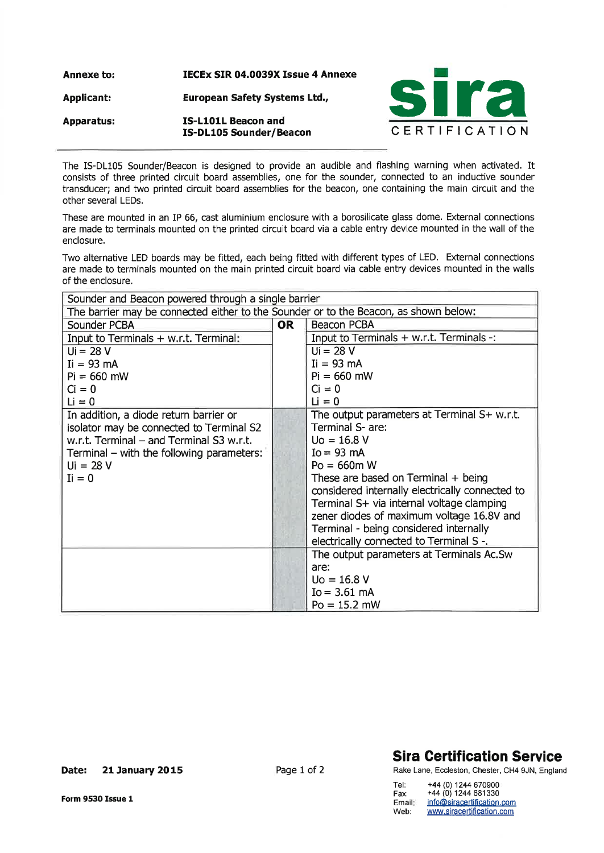Annexe to: IECEx SIR 04.0039X Issue 4 Annexe

Applicant: European Safety Systems Ltd.,

Apparatus: IS-L101L Beacon and



The IS-DL105 Sounder/Beacon is designed to provide an audible and flashing warning when activated. It consists of three printed circuit board assemblies, one for the sounder, connected to an inductive sounder transducer; and two printed circuit board assemblies for the beacon, one containing the main circuit and the other several LEDs,

These are mounted in an IP 66, cast aluminium enclosure with a borosilicate glass dome. External connections are made to terminals mounted on the printed circuit board via a cable entry device mounted in the wall of the enclosure.

Two alternative LED boards may be fitted, each being fitted with different types of LED. External connections are made to terminals mounted on the main printed circuit board via cable entry devices mounted in the walls of the enclosure.

| Sounder and Beacon powered through a single barrier                                  |  |                                                 |
|--------------------------------------------------------------------------------------|--|-------------------------------------------------|
| The barrier may be connected either to the Sounder or to the Beacon, as shown below: |  |                                                 |
| Sounder PCBA                                                                         |  | Beacon PCBA                                     |
| Input to Terminals + w.r.t. Terminal:                                                |  | Input to Terminals + w.r.t. Terminals -:        |
| $Ui = 28 V$                                                                          |  | $Ui = 28 V$                                     |
| $I = 93 \text{ mA}$                                                                  |  | $I = 93 \text{ mA}$                             |
| $Pi = 660$ mW                                                                        |  | $Pi = 660$ mW                                   |
| $Ci = 0$                                                                             |  | $Ci = 0$                                        |
| $Li = 0$                                                                             |  | $Li = 0$                                        |
| In addition, a diode return barrier or                                               |  | The output parameters at Terminal S+ w.r.t.     |
| isolator may be connected to Terminal S2                                             |  | Terminal S- are:                                |
| w.r.t. Terminal – and Terminal S3 w.r.t.                                             |  | $U_0 = 16.8 V$                                  |
| Terminal $-$ with the following parameters:                                          |  | $Io = 93$ mA                                    |
| $Ui = 28 V$                                                                          |  | $Po = 660m$ W                                   |
| $I_i = 0$                                                                            |  | These are based on Terminal $+$ being           |
|                                                                                      |  | considered internally electrically connected to |
|                                                                                      |  | Terminal S+ via internal voltage clamping       |
|                                                                                      |  | zener diodes of maximum voltage 16.8V and       |
|                                                                                      |  | Terminal - being considered internally          |
|                                                                                      |  | electrically connected to Terminal S -.         |
|                                                                                      |  | The output parameters at Terminals Ac.Sw        |
|                                                                                      |  | are:                                            |
|                                                                                      |  | $U_0 = 16.8 V$                                  |
|                                                                                      |  | $Io = 3.61$ mA                                  |
|                                                                                      |  | $Po = 15.2$ mW                                  |

## Sira Gertification Service

Rake Lane, Eccleston, Chester, CH4 gJN, England

| Tel:   | +44 (0) 1244 670900        |
|--------|----------------------------|
| Fax:   | +44 (0) 1244 681330        |
| Email: | info@siracertification.com |
| Web:   | www.siracertification.com  |